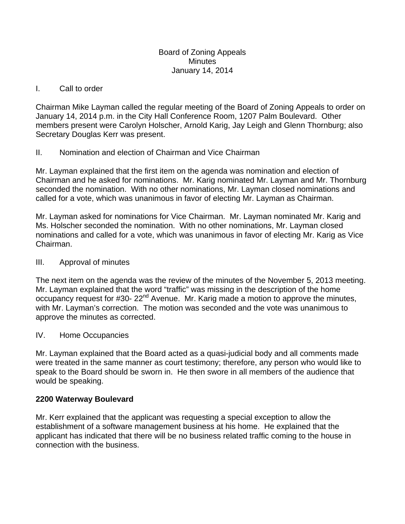#### Board of Zoning Appeals **Minutes** January 14, 2014

## I. Call to order

Chairman Mike Layman called the regular meeting of the Board of Zoning Appeals to order on January 14, 2014 p.m. in the City Hall Conference Room, 1207 Palm Boulevard. Other members present were Carolyn Holscher, Arnold Karig, Jay Leigh and Glenn Thornburg; also Secretary Douglas Kerr was present.

# II. Nomination and election of Chairman and Vice Chairman

Mr. Layman explained that the first item on the agenda was nomination and election of Chairman and he asked for nominations. Mr. Karig nominated Mr. Layman and Mr. Thornburg seconded the nomination. With no other nominations, Mr. Layman closed nominations and called for a vote, which was unanimous in favor of electing Mr. Layman as Chairman.

Mr. Layman asked for nominations for Vice Chairman. Mr. Layman nominated Mr. Karig and Ms. Holscher seconded the nomination. With no other nominations, Mr. Layman closed nominations and called for a vote, which was unanimous in favor of electing Mr. Karig as Vice Chairman.

### III. Approval of minutes

The next item on the agenda was the review of the minutes of the November 5, 2013 meeting. Mr. Layman explained that the word "traffic" was missing in the description of the home occupancy request for #30- 22<sup>nd</sup> Avenue. Mr. Karig made a motion to approve the minutes, with Mr. Layman's correction. The motion was seconded and the vote was unanimous to approve the minutes as corrected.

### IV. Home Occupancies

Mr. Layman explained that the Board acted as a quasi-judicial body and all comments made were treated in the same manner as court testimony; therefore, any person who would like to speak to the Board should be sworn in. He then swore in all members of the audience that would be speaking.

### **2200 Waterway Boulevard**

Mr. Kerr explained that the applicant was requesting a special exception to allow the establishment of a software management business at his home. He explained that the applicant has indicated that there will be no business related traffic coming to the house in connection with the business.